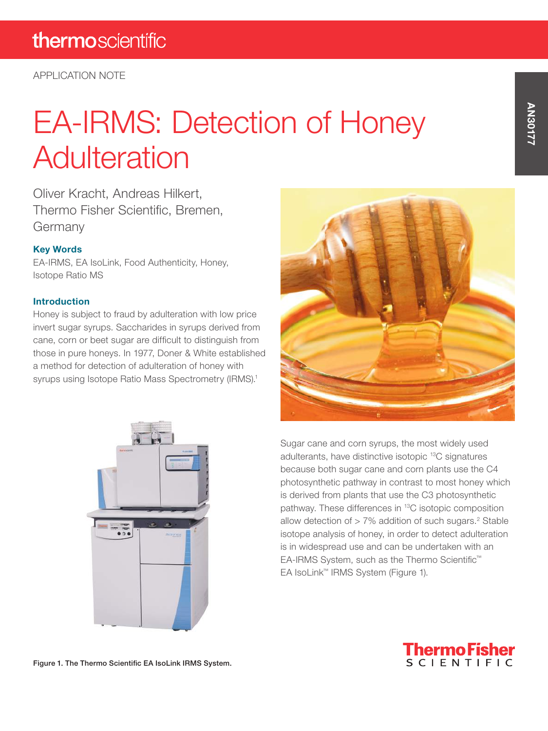# EA-IRMS: Detection of Honey **Adulteration**

Oliver Kracht, Andreas Hilkert, Thermo Fisher Scientific, Bremen, Germany

#### Key Words

EA-IRMS, EA IsoLink, Food Authenticity, Honey, Isotope Ratio MS

#### **Introduction**

Honey is subject to fraud by adulteration with low price invert sugar syrups. Saccharides in syrups derived from cane, corn or beet sugar are difficult to distinguish from those in pure honeys. In 1977, Doner & White established a method for detection of adulteration of honey with syrups using Isotope Ratio Mass Spectrometry (IRMS).<sup>1</sup>





Sugar cane and corn syrups, the most widely used adulterants, have distinctive isotopic 13C signatures because both sugar cane and corn plants use the C4 photosynthetic pathway in contrast to most honey which is derived from plants that use the C3 photosynthetic pathway. These differences in 13C isotopic composition allow detection of  $> 7\%$  addition of such sugars.<sup>2</sup> Stable isotope analysis of honey, in order to detect adulteration is in widespread use and can be undertaken with an EA-IRMS System, such as the Thermo Scientific™ EA IsoLink™ IRMS System (Figure 1).



AN30177 **AN30177** 

Figure 1. The Thermo Scientific EA IsoLink IRMS System.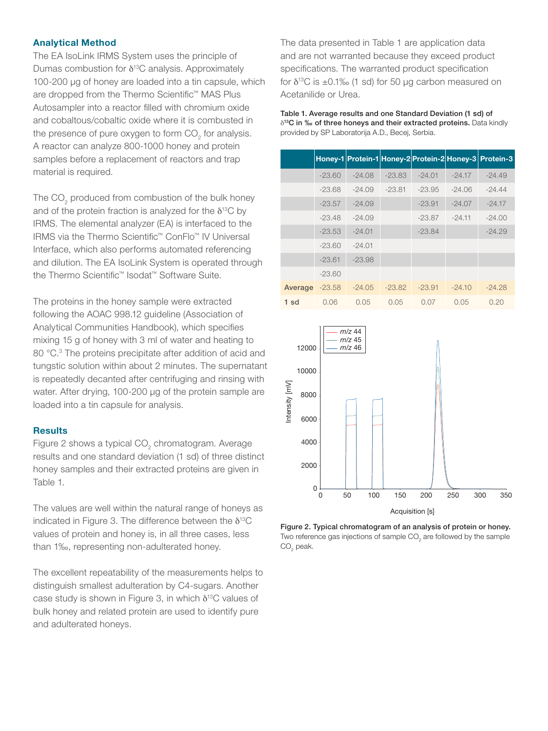#### Analytical Method

The EA IsoLink IRMS System uses the principle of Dumas combustion for  $\delta^{13}$ C analysis. Approximately 100-200 μg of honey are loaded into a tin capsule, which are dropped from the Thermo Scientific™ MAS Plus Autosampler into a reactor filled with chromium oxide and cobaltous/cobaltic oxide where it is combusted in the presence of pure oxygen to form  $\mathrm{CO}_2^+$  for analysis. A reactor can analyze 800-1000 honey and protein samples before a replacement of reactors and trap material is required.

The CO<sub>2</sub> produced from combustion of the bulk honey and of the protein fraction is analyzed for the  $\delta^{13}C$  by IRMS. The elemental analyzer (EA) is interfaced to the IRMS via the Thermo Scientific™ ConFlo™ IV Universal Interface, which also performs automated referencing and dilution. The EA IsoLink System is operated through the Thermo Scientific™ Isodat™ Software Suite.

The proteins in the honey sample were extracted following the AOAC 998.12 guideline (Association of Analytical Communities Handbook), which specifies mixing 15 g of honey with 3 ml of water and heating to 80 °C.<sup>3</sup> The proteins precipitate after addition of acid and tungstic solution within about 2 minutes. The supernatant is repeatedly decanted after centrifuging and rinsing with water. After drying, 100-200 μg of the protein sample are loaded into a tin capsule for analysis.

#### **Results**

Figure 2 shows a typical CO<sub>2</sub> chromatogram. Average results and one standard deviation (1 sd) of three distinct honey samples and their extracted proteins are given in Table 1.

The values are well within the natural range of honeys as indicated in Figure 3. The difference between the  $\delta^{13}C$ values of protein and honey is, in all three cases, less than 1‰, representing non-adulterated honey.

The excellent repeatability of the measurements helps to distinguish smallest adulteration by C4-sugars. Another case study is shown in Figure 3, in which  $\delta^{13}$ C values of bulk honey and related protein are used to identify pure and adulterated honeys.

The data presented in Table 1 are application data and are not warranted because they exceed product specifications. The warranted product specification for  $\delta^{13}$ C is ±0.1‰ (1 sd) for 50 µg carbon measured on Acetanilide or Urea.

Table 1. Average results and one Standard Deviation (1 sd) of  $\delta^{13}$ C in ‰ of three honeys and their extracted proteins. Data kindly provided by SP Laboratorija A.D., Becej, Serbia.

|         |          |          |          |          |          | Honey-1 Protein-1 Honey-2 Protein-2 Honey-3 Protein-3 |
|---------|----------|----------|----------|----------|----------|-------------------------------------------------------|
|         | $-23.60$ | $-24.08$ | $-23.83$ | $-24.01$ | $-24.17$ | $-24.49$                                              |
|         | $-23.68$ | $-24.09$ | $-23.81$ | $-23.95$ | $-24.06$ | $-24.44$                                              |
|         | $-23.57$ | $-24.09$ |          | $-23.91$ | $-24.07$ | $-24.17$                                              |
|         | $-23.48$ | $-24.09$ |          | $-23.87$ | $-24.11$ | $-24.00$                                              |
|         | $-23.53$ | $-24.01$ |          | $-23.84$ |          | $-24.29$                                              |
|         | $-23.60$ | $-24.01$ |          |          |          |                                                       |
|         | $-23.61$ | $-23.98$ |          |          |          |                                                       |
|         | $-23.60$ |          |          |          |          |                                                       |
| Average | $-23.58$ | $-24.05$ | $-23.82$ | $-23.91$ | $-24.10$ | $-24.28$                                              |
| 1 sd    | 0.06     | 0.05     | 0.05     | 0.07     | 0.05     | 0.20                                                  |



Figure 2. Typical chromatogram of an analysis of protein or honey. Two reference gas injections of sample CO<sub>2</sub> are followed by the sample  $\mathrm{CO}_2$  peak.